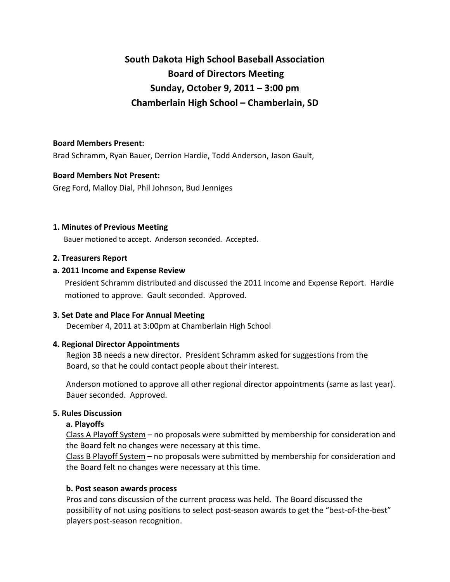# **South Dakota High School Baseball Association Board of Directors Meeting Sunday, October 9, 2011 – 3:00 pm Chamberlain High School – Chamberlain, SD**

## **Board Members Present:**

Brad Schramm, Ryan Bauer, Derrion Hardie, Todd Anderson, Jason Gault,

### **Board Members Not Present:**

Greg Ford, Malloy Dial, Phil Johnson, Bud Jenniges

### **1. Minutes of Previous Meeting**

Bauer motioned to accept. Anderson seconded. Accepted.

## **2. Treasurers Report**

## **a. 2011 Income and Expense Review**

President Schramm distributed and discussed the 2011 Income and Expense Report. Hardie motioned to approve. Gault seconded. Approved.

# **3. Set Date and Place For Annual Meeting**

December 4, 2011 at 3:00pm at Chamberlain High School

# **4. Regional Director Appointments**

Region 3B needs a new director. President Schramm asked for suggestions from the Board, so that he could contact people about their interest.

Anderson motioned to approve all other regional director appointments (same as last year). Bauer seconded. Approved.

# **5. Rules Discussion**

### **a. Playoffs**

Class A Playoff System – no proposals were submitted by membership for consideration and the Board felt no changes were necessary at this time.

Class B Playoff System – no proposals were submitted by membership for consideration and the Board felt no changes were necessary at this time.

# **b. Post season awards process**

Pros and cons discussion of the current process was held. The Board discussed the possibility of not using positions to select post‐season awards to get the "best‐of‐the‐best" players post‐season recognition.